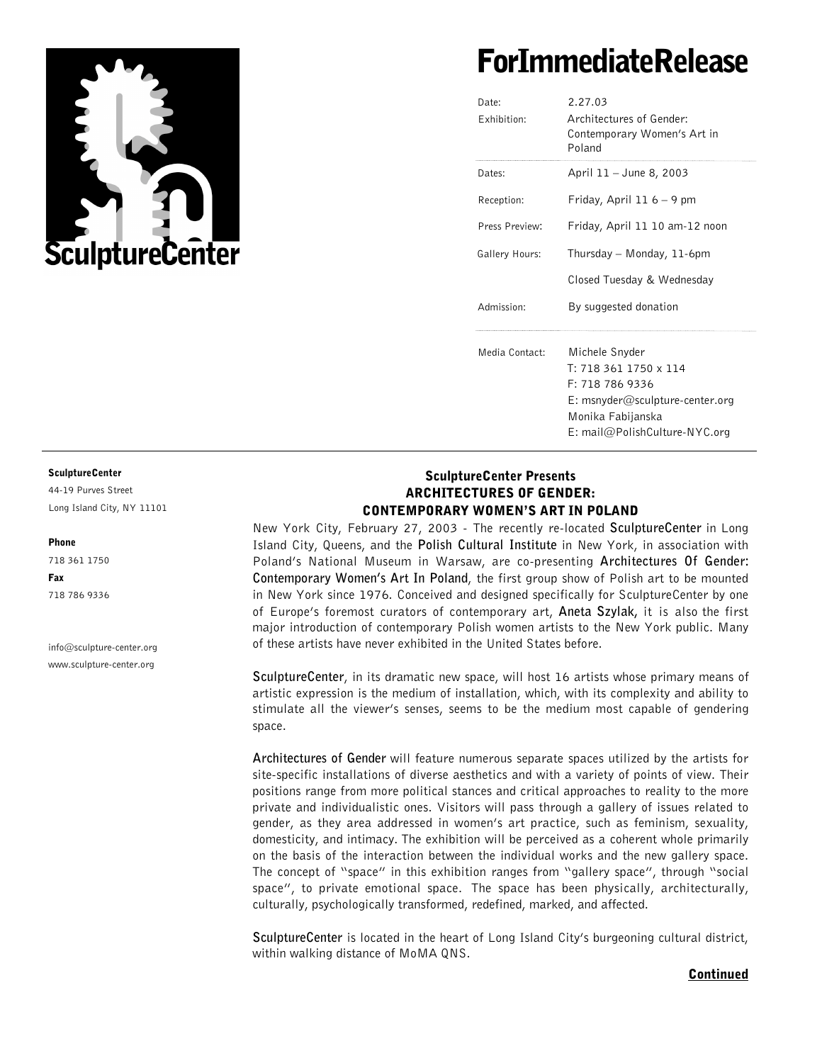

# ForImmediateRelease

| Date:<br>Exhibition: | 2.27.03<br>Architectures of Gender:<br>Contemporary Women's Art in<br>Poland                                                                                  |
|----------------------|---------------------------------------------------------------------------------------------------------------------------------------------------------------|
| Dates:               | April 11 - June 8, 2003                                                                                                                                       |
| Reception:           | Friday, April 11 $6 - 9$ pm                                                                                                                                   |
| Press Preview:       | Friday, April 11 10 am-12 noon                                                                                                                                |
| Gallery Hours:       | Thursday – Monday, 11-6pm                                                                                                                                     |
|                      | Closed Tuesday & Wednesday                                                                                                                                    |
| Admission:           | By suggested donation                                                                                                                                         |
| Media Contact:       | Michele Snyder<br>$T: 7183611750 \times 114$<br>F: 718 786 9336<br>$E:$ msnyder@sculpture-center.org<br>Monika Fabijanska<br>$E: mail@Polish Culture-NYC.org$ |

#### SculptureCenter

44-19 Purves Street Long Island City, NY 11101

#### Phone

718 361 1750 Fax 718 786 9336

info@sculpture-center.org www.sculpture-center.org

## SculptureCenter Presents ARCHITECTURES OF GENDER: CONTEMPORARY WOMEN'S ART IN POLAND

New York City, February 27, 2003 - The recently re-located **SculptureCenter** in Long Island City, Queens, and the **Polish Cultural Institute** in New York, in association with Poland's National Museum in Warsaw, are co-presenting **Architectures Of Gender: Contemporary Women's Art In Poland**, the first group show of Polish art to be mounted in New York since 1976. Conceived and designed specifically for SculptureCenter by one of Europe's foremost curators of contemporary art, **Aneta Szylak,** it is also the first major introduction of contemporary Polish women artists to the New York public. Many of these artists have never exhibited in the United States before.

**SculptureCenter**, in its dramatic new space, will host 16 artists whose primary means of artistic expression is the medium of installation, which, with its complexity and ability to stimulate all the viewer's senses, seems to be the medium most capable of gendering space.

**Architectures of Gender** will feature numerous separate spaces utilized by the artists for site-specific installations of diverse aesthetics and with a variety of points of view. Their positions range from more political stances and critical approaches to reality to the more private and individualistic ones. Visitors will pass through a gallery of issues related to gender, as they area addressed in women's art practice, such as feminism, sexuality, domesticity, and intimacy. The exhibition will be perceived as a coherent whole primarily on the basis of the interaction between the individual works and the new gallery space. The concept of "space" in this exhibition ranges from "gallery space", through "social space", to private emotional space. The space has been physically, architecturally, culturally, psychologically transformed, redefined, marked, and affected.

**SculptureCenter** is located in the heart of Long Island City's burgeoning cultural district, within walking distance of MoMA QNS.